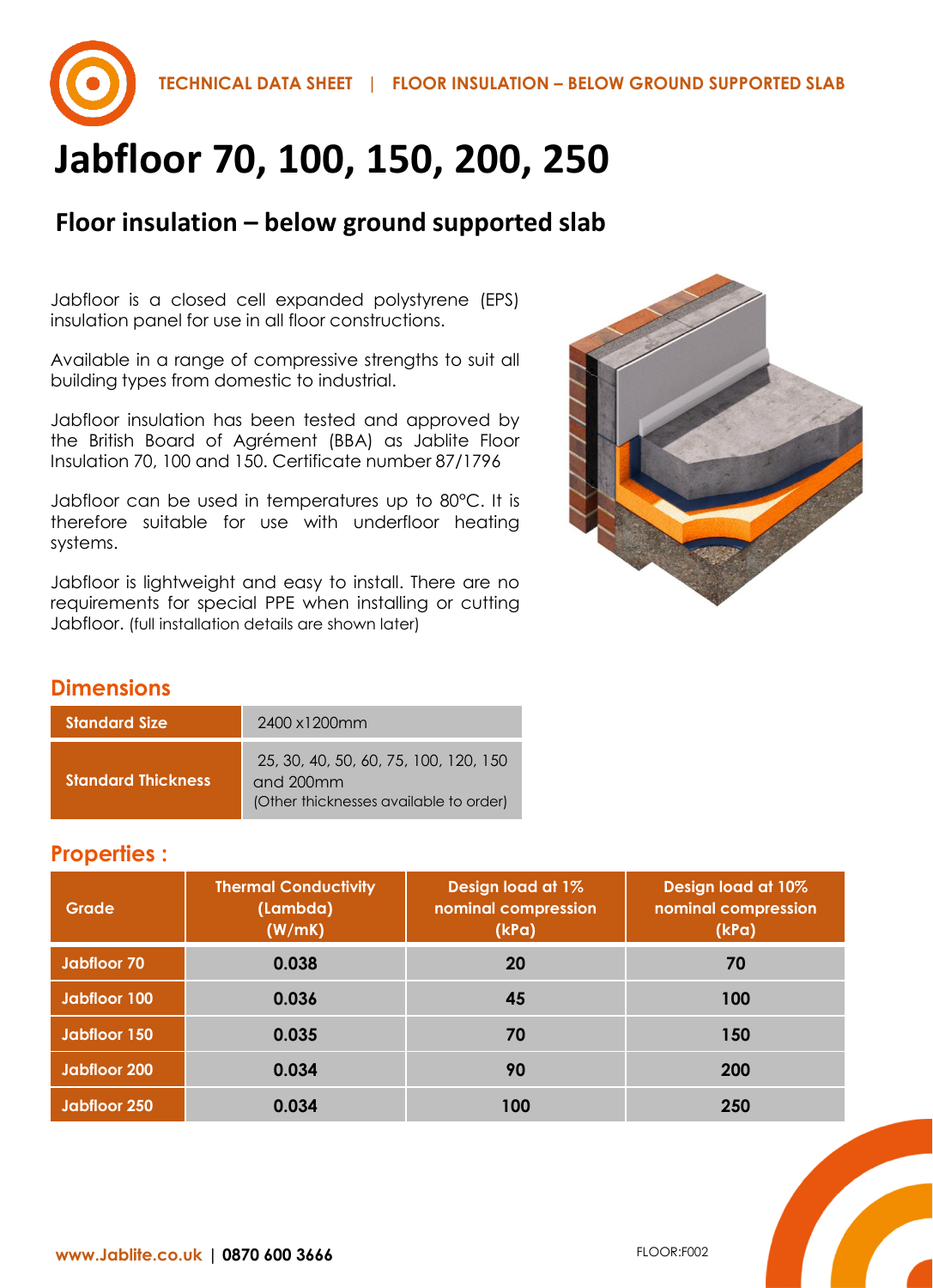

# **Jabfloor 70, 100, 150, 200, 250**

# **Floor insulation – below ground supported slab**

Jabfloor is a closed cell expanded polystyrene (EPS) insulation panel for use in all floor constructions.

Available in a range of compressive strengths to suit all building types from domestic to industrial.

Jabfloor insulation has been tested and approved by the British Board of Agrément (BBA) as Jablite Floor Insulation 70, 100 and 150. Certificate number 87/1796

Jabfloor can be used in temperatures up to 80°C. It is therefore suitable for use with underfloor heating systems.

Jabfloor is lightweight and easy to install. There are no requirements for special PPE when installing or cutting Jabfloor. (full installation details are shown later)



## **Dimensions**

| <b>Standard Size</b>      | 2400 x1200mm                                                                                 |
|---------------------------|----------------------------------------------------------------------------------------------|
| <b>Standard Thickness</b> | 25, 30, 40, 50, 60, 75, 100, 120, 150<br>and 200mm<br>(Other thicknesses available to order) |

#### **Properties :**

| Grade               | <b>Thermal Conductivity</b><br>(Lambda)<br>(W/mK) | <b>Design load at 1%</b><br>nominal compression<br>(kPa) | Design load at 10%<br>nominal compression<br>(kPa) |
|---------------------|---------------------------------------------------|----------------------------------------------------------|----------------------------------------------------|
| <b>Jabfloor 70</b>  | 0.038                                             | 20                                                       | 70                                                 |
| Jabfloor 100        | 0.036                                             | 45                                                       | 100                                                |
| Jabfloor 150        | 0.035                                             | 70                                                       | 150                                                |
| <b>Jabfloor 200</b> | 0.034                                             | 90                                                       | 200                                                |
| <b>Jabfloor 250</b> | 0.034                                             | 100                                                      | 250                                                |

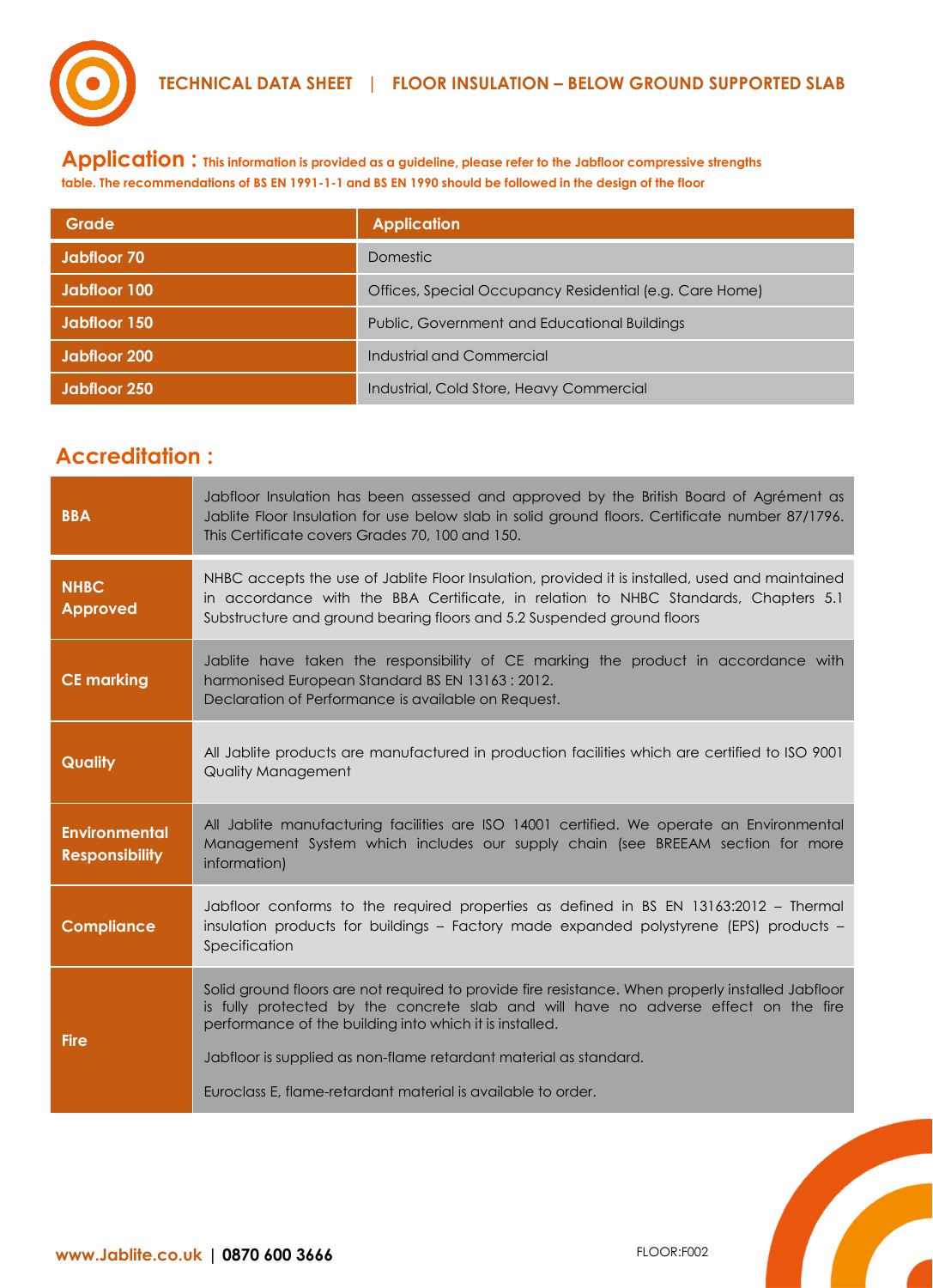

**Application : This information is provided as a guideline, please refer to the Jabfloor compressive strengths table. The recommendations of BS EN 1991-1-1 and BS EN 1990 should be followed in the design of the floor**

| Grade        | <b>Application</b>                                      |
|--------------|---------------------------------------------------------|
| Jabfloor 70  | <b>Domestic</b>                                         |
| Jabfloor 100 | Offices, Special Occupancy Residential (e.g. Care Home) |
| Jabiloor 150 | Public, Government and Educational Buildings            |
| Jabfloor 200 | Industrial and Commercial                               |
| Jabiloor 250 | Industrial, Cold Store, Heavy Commercial                |

# **Accreditation :**

| <b>BBA</b>                                    | Jabfloor Insulation has been assessed and approved by the British Board of Agrément as<br>Jablite Floor Insulation for use below slab in solid ground floors. Certificate number 87/1796.<br>This Certificate covers Grades 70, 100 and 150.                     |
|-----------------------------------------------|------------------------------------------------------------------------------------------------------------------------------------------------------------------------------------------------------------------------------------------------------------------|
| <b>NHBC</b><br><b>Approved</b>                | NHBC accepts the use of Jablite Floor Insulation, provided it is installed, used and maintained<br>in accordance with the BBA Certificate, in relation to NHBC Standards, Chapters 5.1<br>Substructure and ground bearing floors and 5.2 Suspended ground floors |
| <b>CE marking</b>                             | Jablite have taken the responsibility of CE marking the product in accordance with<br>harmonised European Standard BS EN 13163 : 2012.<br>Declaration of Performance is available on Request.                                                                    |
| <b>Quality</b>                                | All Jablite products are manufactured in production facilities which are certified to ISO 9001<br><b>Quality Management</b>                                                                                                                                      |
| <b>Environmental</b><br><b>Responsibility</b> | All Jablite manufacturing facilities are ISO 14001 certified. We operate an Environmental<br>Management System which includes our supply chain (see BREEAM section for more<br>information)                                                                      |
| <b>Compliance</b>                             | Jabfloor conforms to the required properties as defined in BS EN 13163:2012 - Thermal<br>insulation products for buildings - Factory made expanded polystyrene (EPS) products -<br>Specification                                                                 |
| <b>Fire</b>                                   | Solid ground floors are not required to provide fire resistance. When properly installed Jabfloor<br>is fully protected by the concrete slab and will have no adverse effect on the fire<br>performance of the building into which it is installed.              |
|                                               | Jabfloor is supplied as non-flame retardant material as standard.<br>Euroclass E, flame-retardant material is available to order.                                                                                                                                |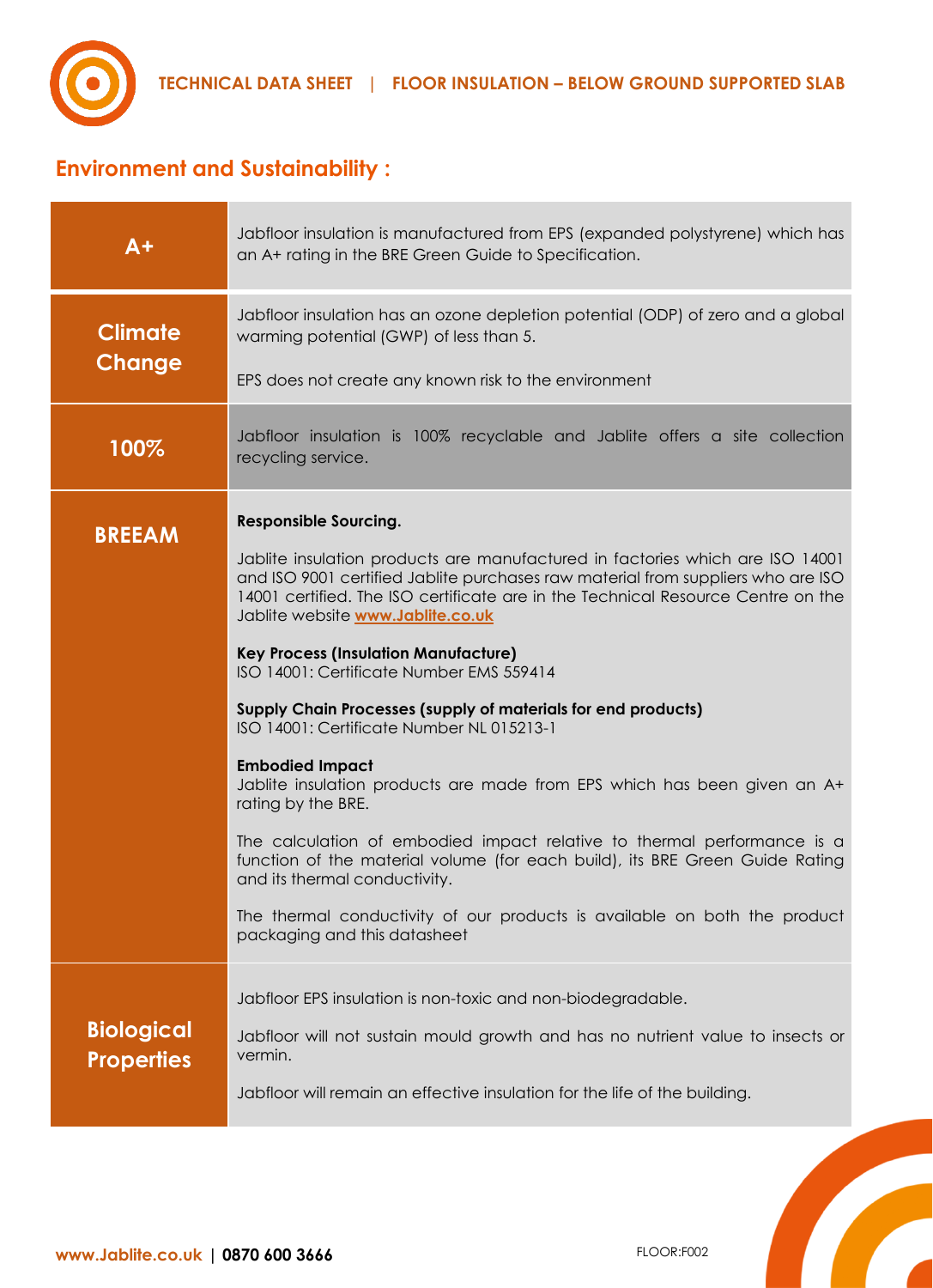

# **Environment and Sustainability :**

| $A+$                                   | Jabfloor insulation is manufactured from EPS (expanded polystyrene) which has<br>an A+ rating in the BRE Green Guide to Specification.                                                                                                                                                                                                                                                                                                                                                                                                                                                                                                                                                                                                                                                                                                                                                                                                                                   |
|----------------------------------------|--------------------------------------------------------------------------------------------------------------------------------------------------------------------------------------------------------------------------------------------------------------------------------------------------------------------------------------------------------------------------------------------------------------------------------------------------------------------------------------------------------------------------------------------------------------------------------------------------------------------------------------------------------------------------------------------------------------------------------------------------------------------------------------------------------------------------------------------------------------------------------------------------------------------------------------------------------------------------|
| <b>Climate</b><br><b>Change</b>        | Jabfloor insulation has an ozone depletion potential (ODP) of zero and a global<br>warming potential (GWP) of less than 5.<br>EPS does not create any known risk to the environment                                                                                                                                                                                                                                                                                                                                                                                                                                                                                                                                                                                                                                                                                                                                                                                      |
| 100%                                   | Jabfloor insulation is 100% recyclable and Jablite offers a site collection<br>recycling service.                                                                                                                                                                                                                                                                                                                                                                                                                                                                                                                                                                                                                                                                                                                                                                                                                                                                        |
| <b>BREEAM</b>                          | <b>Responsible Sourcing.</b><br>Jablite insulation products are manufactured in factories which are ISO 14001<br>and ISO 9001 certified Jablite purchases raw material from suppliers who are ISO<br>14001 certified. The ISO certificate are in the Technical Resource Centre on the<br>Jablite website www.Jablite.co.uk<br><b>Key Process (Insulation Manufacture)</b><br>ISO 14001: Certificate Number EMS 559414<br>Supply Chain Processes (supply of materials for end products)<br>ISO 14001: Certificate Number NL 015213-1<br><b>Embodied Impact</b><br>Jablite insulation products are made from EPS which has been given an A+<br>rating by the BRE.<br>The calculation of embodied impact relative to thermal performance is a<br>function of the material volume (for each build), its BRE Green Guide Rating<br>and its thermal conductivity.<br>The thermal conductivity of our products is available on both the product<br>packaging and this datasheet |
| <b>Biological</b><br><b>Properties</b> | Jabfloor EPS insulation is non-toxic and non-biodegradable.<br>Jabfloor will not sustain mould growth and has no nutrient value to insects or<br>vermin.<br>Jabfloor will remain an effective insulation for the life of the building.                                                                                                                                                                                                                                                                                                                                                                                                                                                                                                                                                                                                                                                                                                                                   |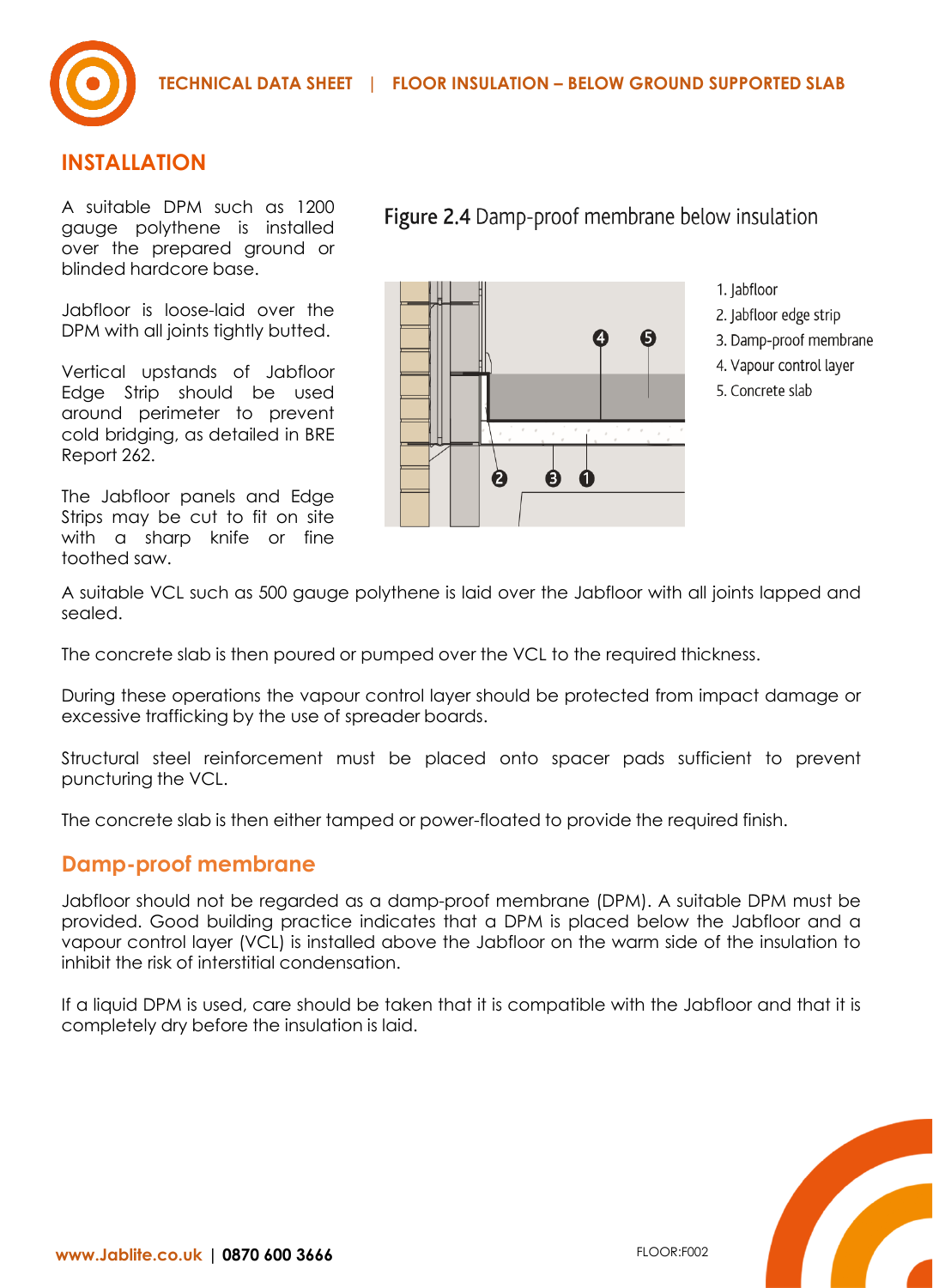

#### **INSTALLATION**

A suitable DPM such as 1200 gauge polythene is installed over the prepared ground or blinded hardcore base.

Jabfloor is loose-laid over the DPM with all joints tightly butted.

Vertical upstands of Jabfloor Edge Strip should be used around perimeter to prevent cold bridging, as detailed in BRE Report 262.

The Jabfloor panels and Edge Strips may be cut to fit on site with a sharp knife or fine toothed saw.

# 0 Ø  $\boldsymbol{a}$ 0  $\mathbf 0$

Figure 2.4 Damp-proof membrane below insulation

- 1. Jabfloor
- 2. Jabfloor edge strip
- 3. Damp-proof membrane
- 4. Vapour control layer
- 5. Concrete slab

A suitable VCL such as 500 gauge polythene is laid over the Jabfloor with all joints lapped and sealed.

The concrete slab is then poured or pumped over the VCL to the required thickness.

During these operations the vapour control layer should be protected from impact damage or excessive trafficking by the use of spreader boards.

Structural steel reinforcement must be placed onto spacer pads sufficient to prevent puncturing the VCL.

The concrete slab is then either tamped or power-floated to provide the required finish.

#### **Damp-proof membrane**

Jabfloor should not be regarded as a damp-proof membrane (DPM). A suitable DPM must be provided. Good building practice indicates that a DPM is placed below the Jabfloor and a vapour control layer (VCL) is installed above the Jabfloor on the warm side of the insulation to inhibit the risk of interstitial condensation.

If a liquid DPM is used, care should be taken that it is compatible with the Jabfloor and that it is completely dry before the insulation is laid.

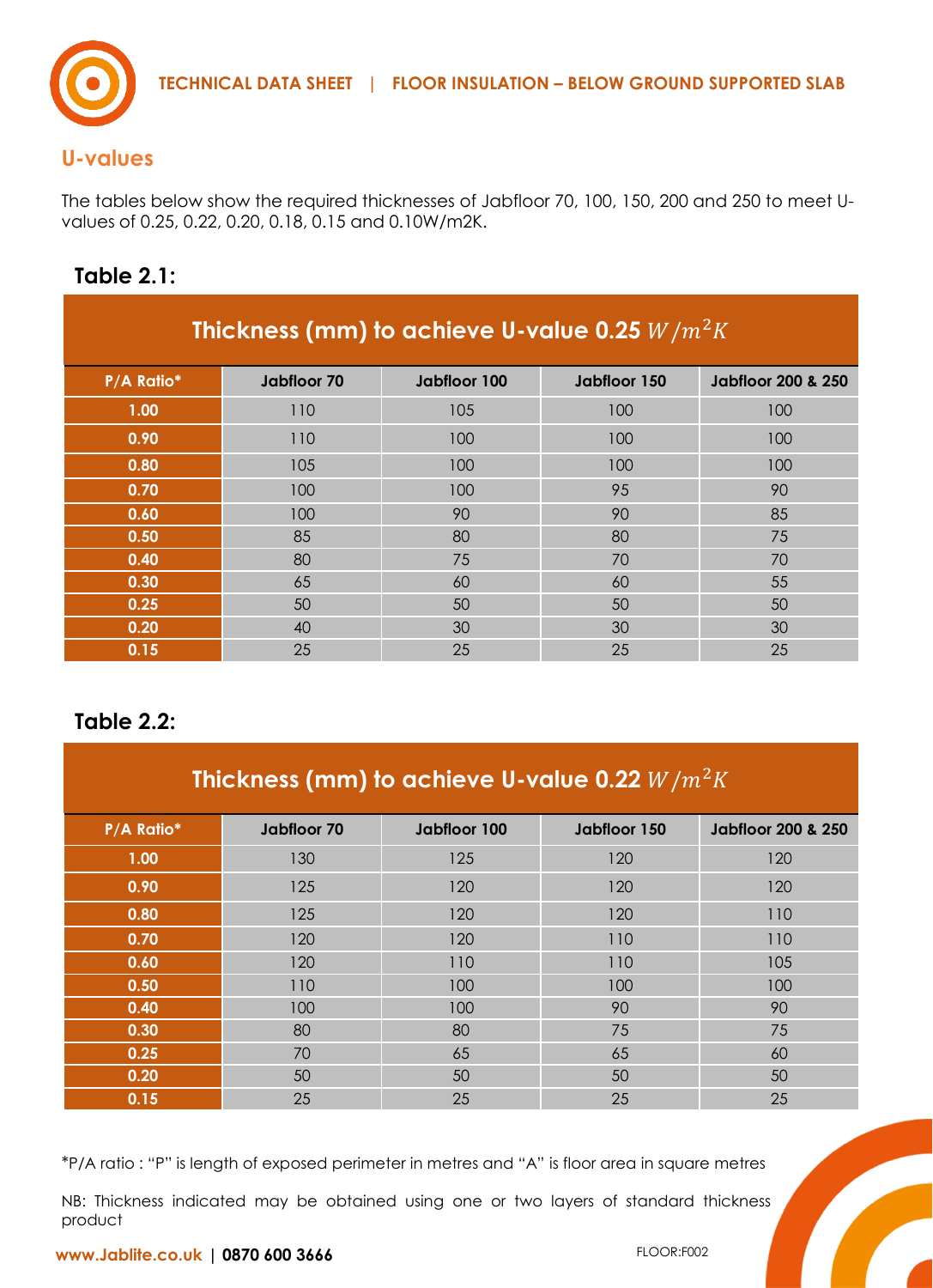

### **U-values**

The tables below show the required thicknesses of Jabfloor 70, 100, 150, 200 and 250 to meet Uvalues of 0.25, 0.22, 0.20, 0.18, 0.15 and 0.10W/m2K.

## **Table 2.1:**

| Thickness (mm) to achieve U-value 0.25 $W/m^2K$ |             |              |              |                               |
|-------------------------------------------------|-------------|--------------|--------------|-------------------------------|
| P/A Ratio*                                      | Jabfloor 70 | Jabfloor 100 | Jabfloor 150 | <b>Jabfloor 200 &amp; 250</b> |
| 1.00                                            | 110         | 105          | 100          | 100                           |
| 0.90                                            | 110         | 100          | 100          | 100                           |
| 0.80                                            | 105         | 100          | 100          | 100                           |
| 0.70                                            | 100         | 100          | 95           | 90                            |
| 0.60                                            | 100         | 90           | 90           | 85                            |
| 0.50                                            | 85          | 80           | 80           | 75                            |
| 0.40                                            | 80          | 75           | 70           | 70                            |
| 0.30                                            | 65          | 60           | 60           | 55                            |
| 0.25                                            | 50          | 50           | 50           | 50                            |
| 0.20                                            | 40          | 30           | 30           | 30                            |
| 0.15                                            | 25          | 25           | 25           | 25                            |

## **Table 2.2:**

| Thickness (mm) to achieve U-value 0.22 $W/m^2K$ |             |              |              |                               |
|-------------------------------------------------|-------------|--------------|--------------|-------------------------------|
| P/A Ratio*                                      | Jabfloor 70 | Jabfloor 100 | Jabfloor 150 | <b>Jabiloor 200 &amp; 250</b> |
| 1.00                                            | 130         | 125          | 120          | 120                           |
| 0.90                                            | 125         | 120          | 120          | 120                           |
| 0.80                                            | 125         | 120          | 120          | 110                           |
| 0.70                                            | 120         | 120          | 110          | 110                           |
| 0.60                                            | 120         | 110          | 110          | 105                           |
| 0.50                                            | 110         | 100          | 100          | 100                           |
| 0.40                                            | 100         | 100          | 90           | 90                            |
| 0.30                                            | 80          | 80           | 75           | 75                            |
| 0.25                                            | 70          | 65           | 65           | 60                            |
| 0.20                                            | 50          | 50           | 50           | 50                            |
| 0.15                                            | 25          | 25           | 25           | 25                            |

\*P/A ratio : "P" is length of exposed perimeter in metres and "A" is floor area in square metres

NB: Thickness indicated may be obtained using one or two layers of standard thickness product

**www.Jablite.co.uk | 0870 600 3666**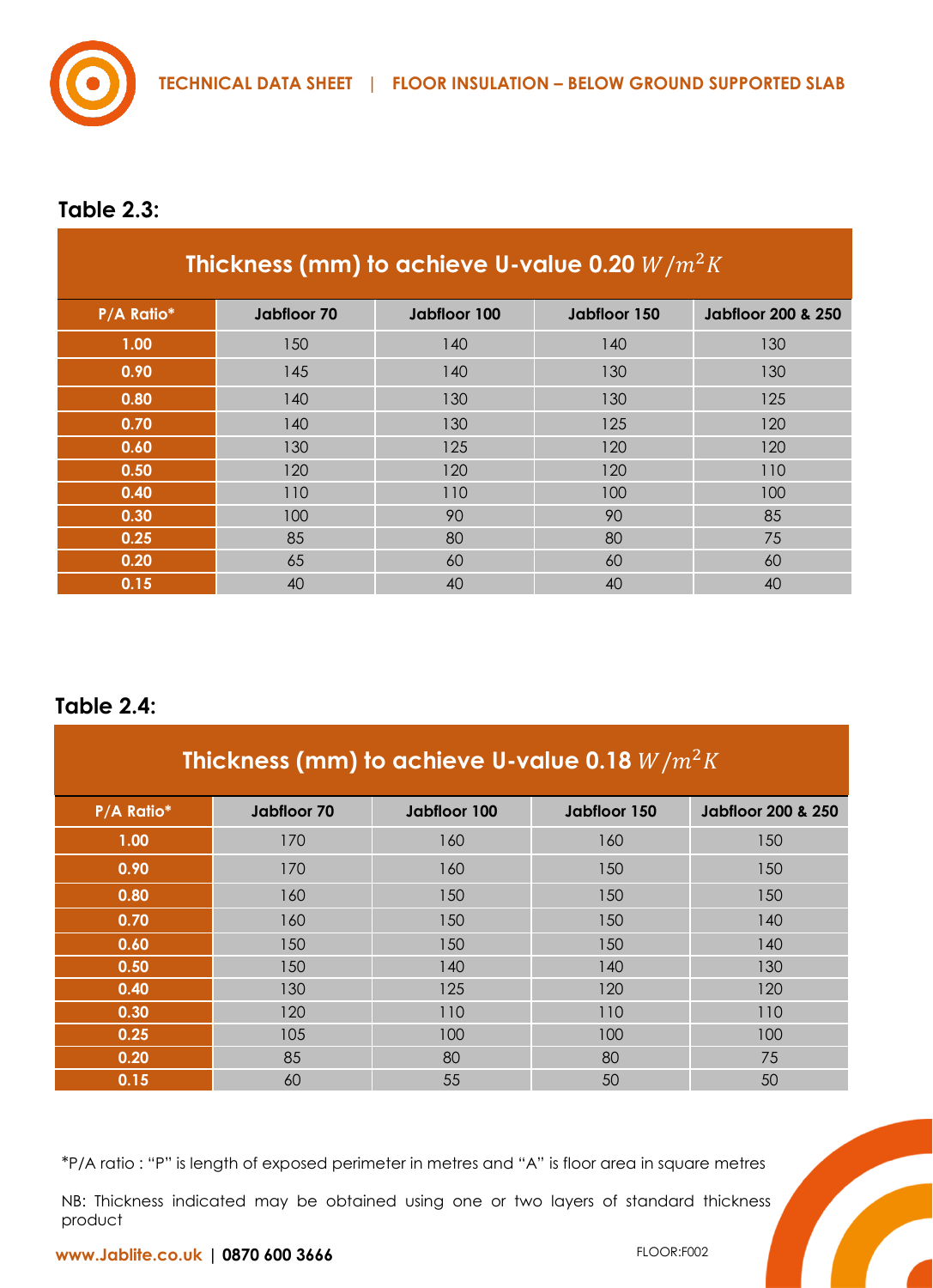

## **Table 2.3:**

| Thickness (mm) to achieve U-value 0.20 $W/m^2K$ |             |              |              |                               |
|-------------------------------------------------|-------------|--------------|--------------|-------------------------------|
| P/A Ratio*                                      | Jabfloor 70 | Jabiloor 100 | Jabiloor 150 | <b>Jabiloor 200 &amp; 250</b> |
| 1.00                                            | 150         | 140          | 140          | 130                           |
| 0.90                                            | 145         | 140          | 130          | 130                           |
| 0.80                                            | 140         | 130          | 130          | 125                           |
| 0.70                                            | 140         | 130          | 125          | 120                           |
| 0.60                                            | 130         | 125          | 120          | 120                           |
| 0.50                                            | 120         | 120          | 120          | 110                           |
| 0.40                                            | 110         | 110          | 100          | 100                           |
| 0.30                                            | 100         | 90           | 90           | 85                            |
| 0.25                                            | 85          | 80           | 80           | 75                            |
| 0.20                                            | 65          | 60           | 60           | 60                            |
| 0.15                                            | 40          | 40           | 40           | 40                            |

#### **Table 2.4:**

| Thickness (mm) to achieve U-value 0.18 $W/m^2K$ |             |              |              |                               |
|-------------------------------------------------|-------------|--------------|--------------|-------------------------------|
| P/A Ratio*                                      | Jabfloor 70 | Jabfloor 100 | Jabfloor 150 | <b>Jabiloor 200 &amp; 250</b> |
| 1.00                                            | 170         | 160          | 160          | 150                           |
| 0.90                                            | 170         | 160          | 150          | 150                           |
| 0.80                                            | 160         | 150          | 150          | 150                           |
| 0.70                                            | 160         | 150          | 150          | 140                           |
| 0.60                                            | 150         | 150          | 150          | 140                           |
| 0.50                                            | 150         | 140          | 140          | 130                           |
| 0.40                                            | 130         | 125          | 120          | 120                           |
| 0.30                                            | 120         | 110          | 110          | 110                           |
| 0.25                                            | 105         | 100          | 100          | 100                           |
| 0.20                                            | 85          | 80           | 80           | 75                            |
| 0.15                                            | 60          | 55           | 50           | 50                            |

\*P/A ratio : "P" is length of exposed perimeter in metres and "A" is floor area in square metres

NB: Thickness indicated may be obtained using one or two layers of standard thickness product

**www.Jablite.co.uk | 0870 600 3666**